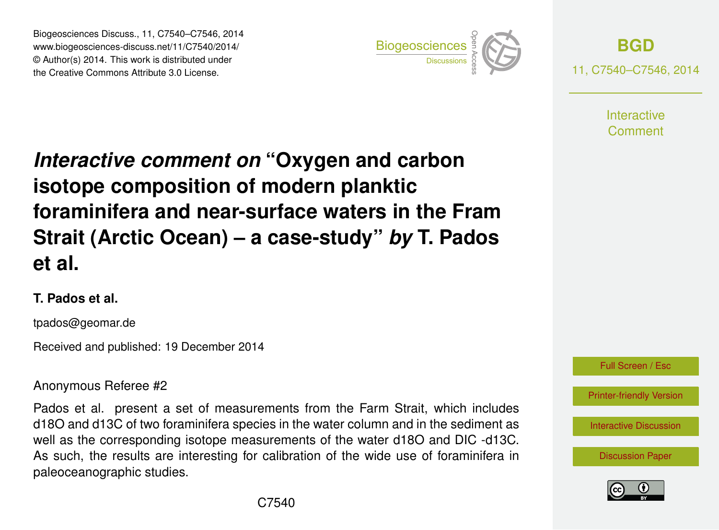Biogeosciences Discuss., 11, C7540–C7546, 2014 www.biogeosciences-discuss.net/11/C7540/2014/ © Author(s) 2014. This work is distributed under Biogeosciences Discuss., 11, C7540–C7546, 2014<br>www.biogeosciences-discuss.net/11/C7540/2014/<br>© Author(s) 2014. This work is distributed under<br>the Creative Commons Attribute 3.0 License.



**[BGD](http://www.biogeosciences-discuss.net)** 11, C7540–C7546, 2014

> **Interactive** Comment

# *Interactive comment on* **"Oxygen and carbon isotope composition of modern planktic foraminifera and near-surface waters in the Fram Strait (Arctic Ocean) – a case-study"** *by* **T. Pados et al.**

#### **T. Pados et al.**

tpados@geomar.de

Received and published: 19 December 2014

#### Anonymous Referee #2

Pados et al. present a set of measurements from the Farm Strait, which includes d18O and d13C of two foraminifera species in the water column and in the sediment as well as the corresponding isotope measurements of the water d18O and DIC -d13C. As such, the results are interesting for calibration of the wide use of foraminifera in paleoceanographic studies.



[Printer-friendly Version](http://www.biogeosciences-discuss.net/11/C7540/2014/bgd-11-C7540-2014-print.pdf)

[Interactive Discussion](http://www.biogeosciences-discuss.net/11/8635/2014/bgd-11-8635-2014-discussion.html)

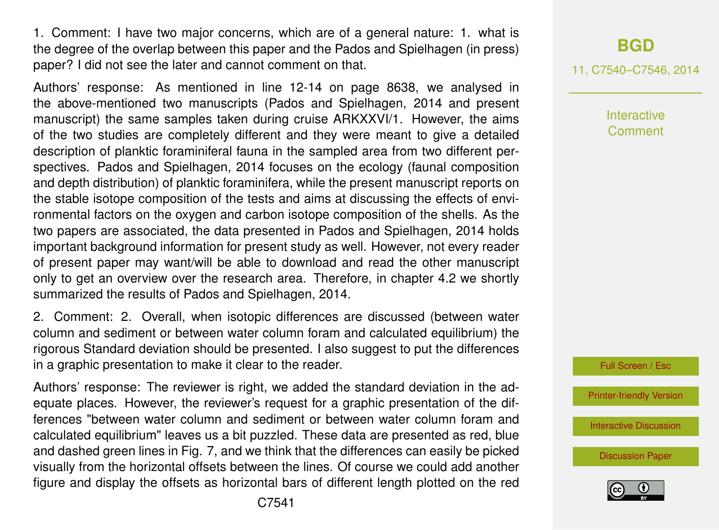1. Comment: I have two major concerns, which are of a general nature: 1. what is the degree of the overlap between this paper and the Pados and Spielhagen (in press) paper? I did not see the later and cannot comment on that.

Authors' response: As mentioned in line 12-14 on page 8638, we analysed in the above-mentioned two manuscripts (Pados and Spielhagen, 2014 and present manuscript) the same samples taken during cruise ARKXXVI/1. However, the aims of the two studies are completely different and they were meant to give a detailed description of planktic foraminiferal fauna in the sampled area from two different perspectives. Pados and Spielhagen, 2014 focuses on the ecology (faunal composition and depth distribution) of planktic foraminifera, while the present manuscript reports on the stable isotope composition of the tests and aims at discussing the effects of environmental factors on the oxygen and carbon isotope composition of the shells. As the two papers are associated, the data presented in Pados and Spielhagen, 2014 holds important background information for present study as well. However, not every reader of present paper may want/will be able to download and read the other manuscript only to get an overview over the research area. Therefore, in chapter 4.2 we shortly summarized the results of Pados and Spielhagen, 2014.

2. Comment: 2. Overall, when isotopic differences are discussed (between water column and sediment or between water column foram and calculated equilibrium) the rigorous Standard deviation should be presented. I also suggest to put the differences in a graphic presentation to make it clear to the reader.

Authors' response: The reviewer is right, we added the standard deviation in the adequate places. However, the reviewer's request for a graphic presentation of the differences "between water column and sediment or between water column foram and calculated equilibrium" leaves us a bit puzzled. These data are presented as red, blue and dashed green lines in Fig. 7, and we think that the differences can easily be picked visually from the horizontal offsets between the lines. Of course we could add another figure and display the offsets as horizontal bars of different length plotted on the red

### **[BGD](http://www.biogeosciences-discuss.net)**

11, C7540–C7546, 2014

Interactive **Comment** 



[Printer-friendly Version](http://www.biogeosciences-discuss.net/11/C7540/2014/bgd-11-C7540-2014-print.pdf)

[Interactive Discussion](http://www.biogeosciences-discuss.net/11/8635/2014/bgd-11-8635-2014-discussion.html)

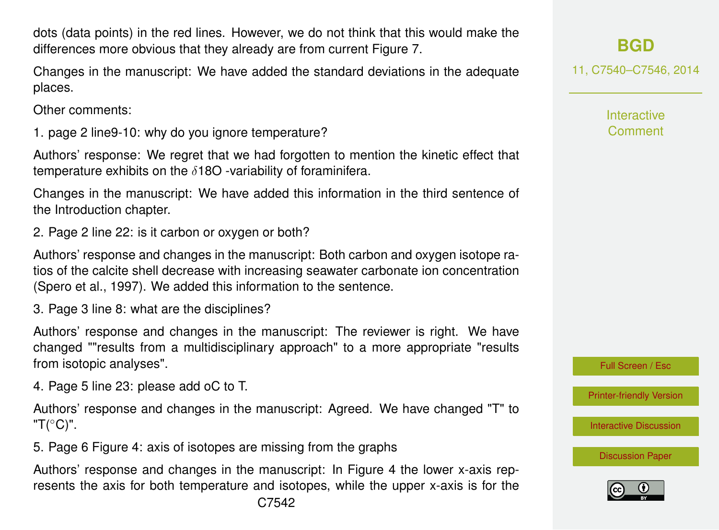dots (data points) in the red lines. However, we do not think that this would make the differences more obvious that they already are from current Figure 7.

Changes in the manuscript: We have added the standard deviations in the adequate places.

Other comments:

1. page 2 line9-10: why do you ignore temperature?

Authors' response: We regret that we had forgotten to mention the kinetic effect that temperature exhibits on the  $\delta$ 180 -variability of foraminifera.

Changes in the manuscript: We have added this information in the third sentence of the Introduction chapter.

2. Page 2 line 22: is it carbon or oxygen or both?

Authors' response and changes in the manuscript: Both carbon and oxygen isotope ratios of the calcite shell decrease with increasing seawater carbonate ion concentration (Spero et al., 1997). We added this information to the sentence.

3. Page 3 line 8: what are the disciplines?

Authors' response and changes in the manuscript: The reviewer is right. We have changed ""results from a multidisciplinary approach" to a more appropriate "results from isotopic analyses".

4. Page 5 line 23: please add oC to T.

Authors' response and changes in the manuscript: Agreed. We have changed "T" to "T( $^{\circ}$ C)".

5. Page 6 Figure 4: axis of isotopes are missing from the graphs

Authors' response and changes in the manuscript: In Figure 4 the lower x-axis represents the axis for both temperature and isotopes, while the upper x-axis is for the

## **[BGD](http://www.biogeosciences-discuss.net)**

11, C7540–C7546, 2014

**Interactive Comment** 

Full Screen / Esc

[Printer-friendly Version](http://www.biogeosciences-discuss.net/11/C7540/2014/bgd-11-C7540-2014-print.pdf)

[Interactive Discussion](http://www.biogeosciences-discuss.net/11/8635/2014/bgd-11-8635-2014-discussion.html)

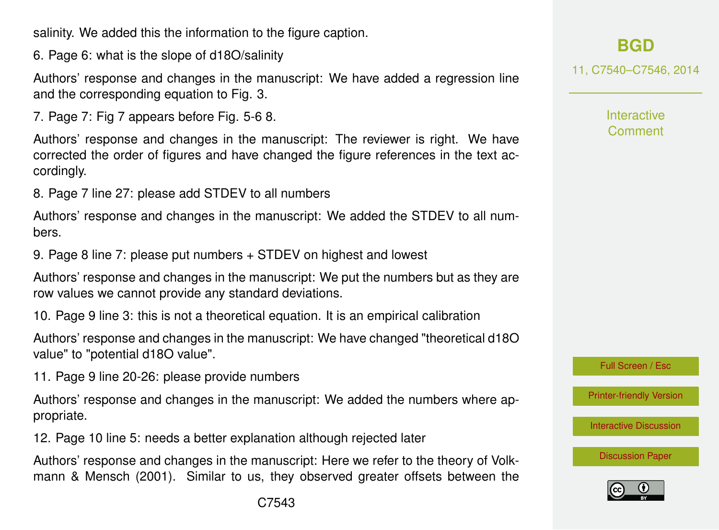salinity. We added this the information to the figure caption.

6. Page 6: what is the slope of d18O/salinity

Authors' response and changes in the manuscript: We have added a regression line and the corresponding equation to Fig. 3.

7. Page 7: Fig 7 appears before Fig. 5-6 8.

Authors' response and changes in the manuscript: The reviewer is right. We have corrected the order of figures and have changed the figure references in the text accordingly.

8. Page 7 line 27: please add STDEV to all numbers

Authors' response and changes in the manuscript: We added the STDEV to all numbers.

9. Page 8 line 7: please put numbers + STDEV on highest and lowest

Authors' response and changes in the manuscript: We put the numbers but as they are row values we cannot provide any standard deviations.

10. Page 9 line 3: this is not a theoretical equation. It is an empirical calibration

Authors' response and changes in the manuscript: We have changed "theoretical d18O value" to "potential d18O value".

11. Page 9 line 20-26: please provide numbers

Authors' response and changes in the manuscript: We added the numbers where appropriate.

12. Page 10 line 5: needs a better explanation although rejected later

Authors' response and changes in the manuscript: Here we refer to the theory of Volkmann & Mensch (2001). Similar to us, they observed greater offsets between the **[BGD](http://www.biogeosciences-discuss.net)**

11, C7540–C7546, 2014

**Interactive Comment** 

Full Screen / Esc

[Printer-friendly Version](http://www.biogeosciences-discuss.net/11/C7540/2014/bgd-11-C7540-2014-print.pdf)

[Interactive Discussion](http://www.biogeosciences-discuss.net/11/8635/2014/bgd-11-8635-2014-discussion.html)

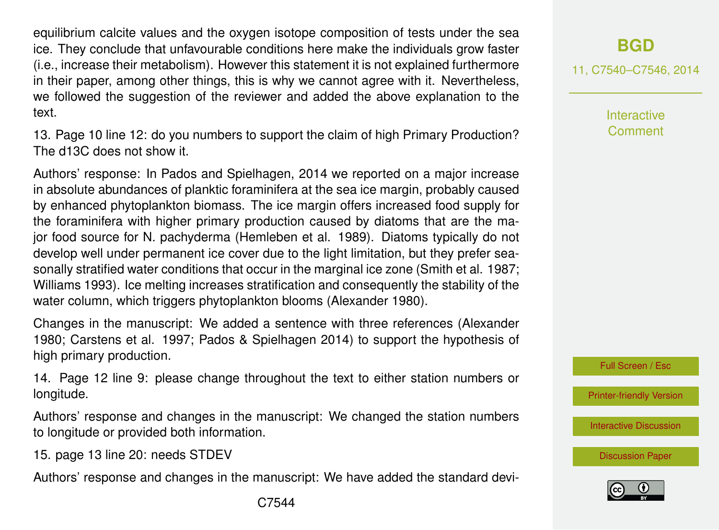equilibrium calcite values and the oxygen isotope composition of tests under the sea ice. They conclude that unfavourable conditions here make the individuals grow faster (i.e., increase their metabolism). However this statement it is not explained furthermore in their paper, among other things, this is why we cannot agree with it. Nevertheless, we followed the suggestion of the reviewer and added the above explanation to the text.

13. Page 10 line 12: do you numbers to support the claim of high Primary Production? The d13C does not show it.

Authors' response: In Pados and Spielhagen, 2014 we reported on a major increase in absolute abundances of planktic foraminifera at the sea ice margin, probably caused by enhanced phytoplankton biomass. The ice margin offers increased food supply for the foraminifera with higher primary production caused by diatoms that are the major food source for N. pachyderma (Hemleben et al. 1989). Diatoms typically do not develop well under permanent ice cover due to the light limitation, but they prefer seasonally stratified water conditions that occur in the marginal ice zone (Smith et al. 1987; Williams 1993). Ice melting increases stratification and consequently the stability of the water column, which triggers phytoplankton blooms (Alexander 1980).

Changes in the manuscript: We added a sentence with three references (Alexander 1980; Carstens et al. 1997; Pados & Spielhagen 2014) to support the hypothesis of high primary production.

14. Page 12 line 9: please change throughout the text to either station numbers or longitude.

Authors' response and changes in the manuscript: We changed the station numbers to longitude or provided both information.

15. page 13 line 20: needs STDEV

Authors' response and changes in the manuscript: We have added the standard devi-

11, C7540–C7546, 2014

**Interactive** Comment

Full Screen / Esc

[Printer-friendly Version](http://www.biogeosciences-discuss.net/11/C7540/2014/bgd-11-C7540-2014-print.pdf)

[Interactive Discussion](http://www.biogeosciences-discuss.net/11/8635/2014/bgd-11-8635-2014-discussion.html)

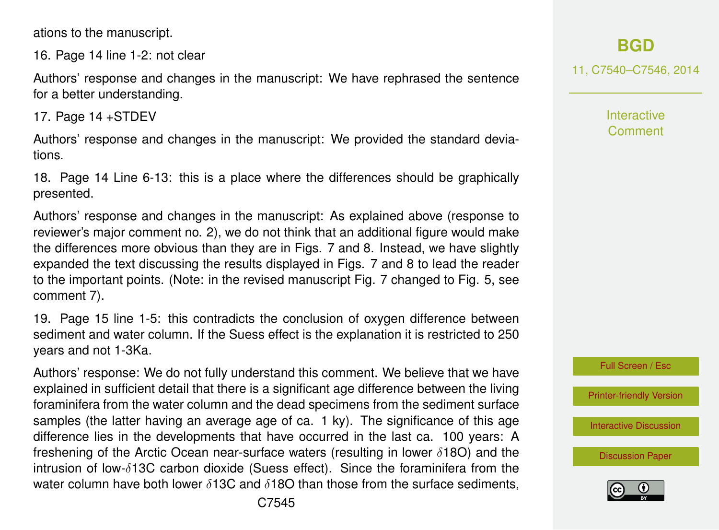ations to the manuscript.

16. Page 14 line 1-2: not clear

Authors' response and changes in the manuscript: We have rephrased the sentence for a better understanding.

17. Page 14 +STDEV

Authors' response and changes in the manuscript: We provided the standard deviations.

18. Page 14 Line 6-13: this is a place where the differences should be graphically presented.

Authors' response and changes in the manuscript: As explained above (response to reviewer's major comment no. 2), we do not think that an additional figure would make the differences more obvious than they are in Figs. 7 and 8. Instead, we have slightly expanded the text discussing the results displayed in Figs. 7 and 8 to lead the reader to the important points. (Note: in the revised manuscript Fig. 7 changed to Fig. 5, see comment 7).

19. Page 15 line 1-5: this contradicts the conclusion of oxygen difference between sediment and water column. If the Suess effect is the explanation it is restricted to 250 years and not 1-3Ka.

Authors' response: We do not fully understand this comment. We believe that we have explained in sufficient detail that there is a significant age difference between the living foraminifera from the water column and the dead specimens from the sediment surface samples (the latter having an average age of ca. 1 ky). The significance of this age difference lies in the developments that have occurred in the last ca. 100 years: A freshening of the Arctic Ocean near-surface waters (resulting in lower  $\delta$ 180) and the intrusion of low-δ13C carbon dioxide (Suess effect). Since the foraminifera from the water column have both lower  $\delta$ 13C and  $\delta$ 18O than those from the surface sediments, 11, C7540–C7546, 2014

**Interactive Comment** 



[Printer-friendly Version](http://www.biogeosciences-discuss.net/11/C7540/2014/bgd-11-C7540-2014-print.pdf)

[Interactive Discussion](http://www.biogeosciences-discuss.net/11/8635/2014/bgd-11-8635-2014-discussion.html)